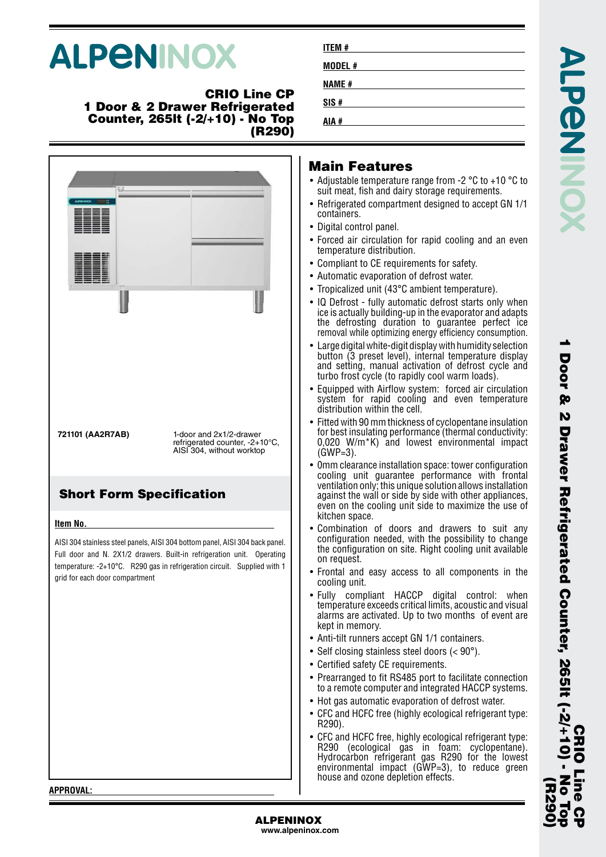# **ALPENINOX**

#### **CRIO Line CP 1 Door & 2 Drawer Refrigerated Counter, 265lt (-2/+10) - No Top (R290)**



| <b>ITEM#</b>  |  |  |  |
|---------------|--|--|--|
| <b>MODEL#</b> |  |  |  |
| <b>NAME#</b>  |  |  |  |
| SIS#          |  |  |  |
| AIA #         |  |  |  |

### **Main Features**

- Adjustable temperature range from -2 °C to +10 °C to suit meat, fish and dairy storage requirements.
- Refrigerated compartment designed to accept GN 1/1 containers.
- Digital control panel.
- Forced air circulation for rapid cooling and an even temperature distribution.
- Compliant to CE requirements for safety.
- Automatic evaporation of defrost water.
- Tropicalized unit (43°C ambient temperature).
- IQ Defrost fully automatic defrost starts only when ice is actually building-up in the evaporator and adapts the defrosting duration to guarantee perfect ice removal while optimizing energy efficiency consumption.
- Large digital white-digit display with humidity selection button (3 preset level), internal temperature display and setting, manual activation of defrost cycle and turbo frost cycle (to rapidly cool warm loads).
- Equipped with Airflow system: forced air circulation system for rapid cooling and even temperature distribution within the cell.
- Fitted with 90 mm thickness of cyclopentane insulation for best insulating performance (thermal conductivity: 0,020 W/m\*K) and lowest environmental impact (GWP=3).
- 0mm clearance installation space: tower configuration cooling unit guarantee performance with frontal ventilation only; this unique solution allows installation against the wall or side by side with other appliances, even on the cooling unit side to maximize the use of kitchen space.
- • Combination of doors and drawers to suit any configuration needed, with the possibility to change the configuration on site. Right cooling unit available on request.
- Frontal and easy access to all components in the cooling unit.
- Fully compliant HACCP digital control: when temperature exceeds critical limits, acoustic and visual alarms are activated. Up to two months of event are kept in memory.
- Anti-tilt runners accept GN 1/1 containers.
- Self closing stainless steel doors (< 90°).
- Certified safety CE requirements.
- Prearranged to fit RS485 port to facilitate connection to a remote computer and integrated HACCP systems.
- Hot gas automatic evaporation of defrost water.
- CFC and HCFC free (highly ecological refrigerant type: R290).
- • CFC and HCFC free, highly ecological refrigerant type: R290 (ecological gas in foam: cyclopentane). Hydrocarbon refrigerant gas R290 for the lowest environmental impact (GWP=3), to reduce green house and ozone depletion effects.

**CRIO Line CP**

 $\frac{1}{2}$ 

**(R290)**

**1 Door & 2 Drawer Refrigerated Counter, 265lt (-2/+10) - No Top**

Door & 2 Drawer Refrigerated Counter, 265It (-2/+10)<br>Door & 2 Drawer Refrigerated Counter, 265It (-2/+10)

**APPROVAL:**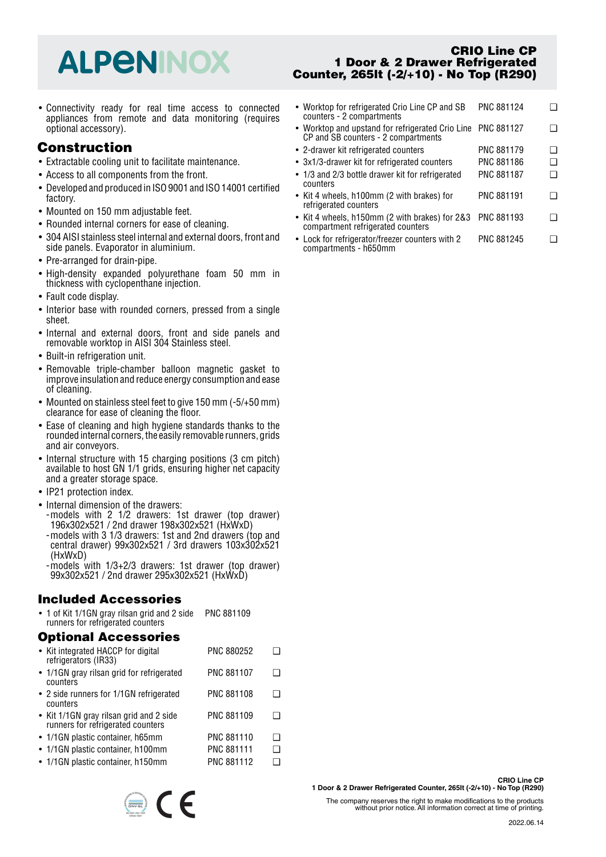## **ALPENINOX**

• Connectivity ready for real time access to connected appliances from remote and data monitoring (requires optional accessory).

## **Construction**

- Extractable cooling unit to facilitate maintenance.
- Access to all components from the front.
- Developed and produced in ISO 9001 and ISO 14001 certified factory.
- Mounted on 150 mm adjustable feet.
- Rounded internal corners for ease of cleaning.
- 304 AISI stainless steel internal and external doors, front and side panels. Evaporator in aluminium.
- Pre-arranged for drain-pipe.
- High-density expanded polyurethane foam 50 mm in thickness with cyclopenthane injection.
- Fault code display.
- Interior base with rounded corners, pressed from a single sheet.
- Internal and external doors, front and side panels and removable worktop in AISI 304 Stainless steel.
- Built-in refrigeration unit.
- Removable triple-chamber balloon magnetic gasket to improve insulation and reduce energy consumption and ease of cleaning.
- Mounted on stainless steel feet to give 150 mm (-5/+50 mm) clearance for ease of cleaning the floor.
- Ease of cleaning and high hygiene standards thanks to the rounded internal corners, the easily removable runners, grids and air conveyors.
- Internal structure with 15 charging positions (3 cm pitch) available to host GN 1/1 grids, ensuring higher net capacity and a greater storage space.
- IP21 protection index.
- Internal dimension of the drawers:
- -models with 2 1/2 drawers: 1st drawer (top drawer) 196x302x521 / 2nd drawer 198x302x521 (HxWxD)
- -models with 3 1/3 drawers: 1st and 2nd drawers (top and central drawer) 99x302x521 / 3rd drawers 103x302x521 (HxWxD)
- -models with 1/3+2/3 drawers: 1st drawer (top drawer) 99x302x521 / 2nd drawer 295x302x521 (HxWxD)

### **Included Accessories**

• 1 of Kit 1/1GN gray rilsan grid and 2 side runners for refrigerated counters PNC 881109

#### **Optional Accessories**

| • Kit integrated HACCP for digital<br>refrigerators (IR33)                   | <b>PNC 880252</b> |     |
|------------------------------------------------------------------------------|-------------------|-----|
| • 1/1 GN gray rilsan grid for refrigerated<br>counters                       | <b>PNC 881107</b> |     |
| • 2 side runners for 1/1GN refrigerated<br>counters                          | <b>PNC 881108</b> |     |
| • Kit 1/1GN gray rilsan grid and 2 side<br>runners for refrigerated counters | PNC 881109        |     |
| • 1/1 GN plastic container, h65mm                                            | <b>PNC 881110</b> | l 1 |
| • 1/1GN plastic container, h100mm                                            | <b>PNC 881111</b> | ∣ 1 |
| • 1/1GN plastic container, h150mm                                            | PNC 881112        |     |

 $\epsilon$ 

#### **CRIO Line CP 1 Door & 2 Drawer Refrigerated Counter, 265lt (-2/+10) - No Top (R290)**

- Worktop for refrigerated Crio Line CP and SB counters - 2 compartments PNC 881124 ❑ •• Worktop and upstand for refrigerated Crio Line PNC 881127  $\Box$ CP and SB counters - 2 compartments • 2-drawer kit refrigerated counters PNC 881179 ❑ • 3x1/3-drawer kit for refrigerated counters PNC 881186 ❑ • 1/3 and 2/3 bottle drawer kit for refrigerated counters PNC 881187 ❑ • Kit 4 wheels, h100mm (2 with brakes) for refrigerated counters PNC 881191 <del>□</del> • Kit 4 wheels, h150mm (2 with brakes) for 2&3 PNC 881193 ❑ compartment refrigerated counters
- Lock for refrigerator/freezer counters with 2 compartments - h650mm PNC 881245 <del>□</del>

**CRIO Line CP 1 Door & 2 Drawer Refrigerated Counter, 265lt (-2/+10) - No Top (R290)**

The company reserves the right to make modifications to the products without prior notice. All information correct at time of printing.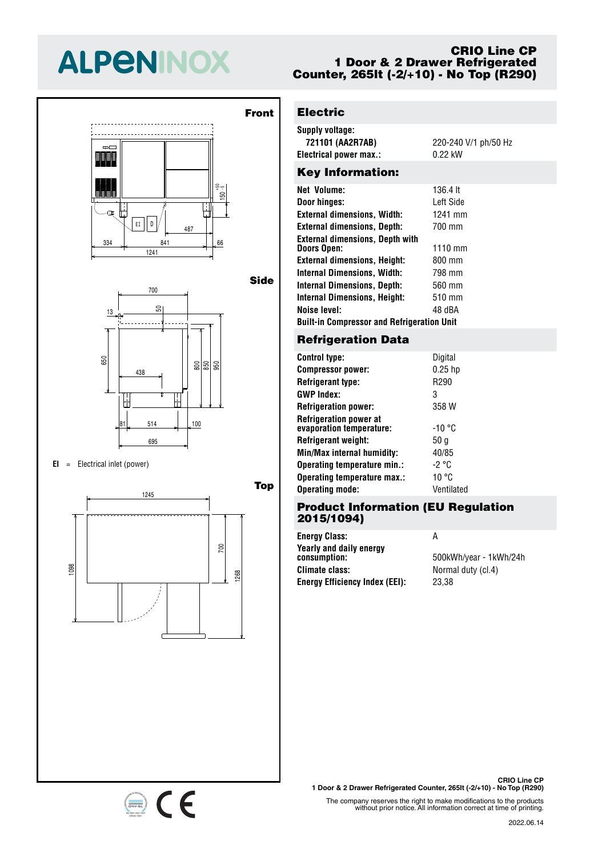## **ALPENINOX**

#### **CRIO Line CP 1 Door & 2 Drawer Refrigerated Counter, 265lt (-2/+10) - No Top (R290)**





#### $EI =$  Electrical inlet (power)

334 841 66



CE

#### **Front** l -**Electric**

 $\overline{1}$ 

<u>155</u>

- 1

 $\overline{1}$ 

13

13

| Supply voltage:        |                      |
|------------------------|----------------------|
| 721101 (AA2R7AB)       | 220-240 V/1 ph/50 Hz |
| Electrical power max.: | 0.22 kW              |
|                        |                      |

#### Key Information:

| <b>Net Volume:</b>                                | 136.4 lt          |  |
|---------------------------------------------------|-------------------|--|
| Door hinges:                                      | I eft Side        |  |
| <b>External dimensions, Width:</b>                | 1241 mm           |  |
| <b>External dimensions, Depth:</b>                | 700 mm            |  |
| <b>External dimensions, Depth with</b>            |                   |  |
| <b>Doors Open:</b>                                | $1110 \text{ mm}$ |  |
| <b>External dimensions, Height:</b>               | 800 mm            |  |
| <b>Internal Dimensions, Width:</b>                | 798 mm            |  |
| <b>Internal Dimensions, Depth:</b>                | 560 mm            |  |
| <b>Internal Dimensions, Height:</b>               | 510 mm            |  |
| <b>Noise level:</b>                               | 48 dBA            |  |
| <b>Built-in Compressor and Refrigeration Unit</b> |                   |  |
|                                                   |                   |  |

## Refrigeration <mark>Da</mark>ta

| <b>Control type:</b>                                      | Digital    |
|-----------------------------------------------------------|------------|
| <b>Compressor power:</b>                                  | $0.25$ hp  |
| <b>Refrigerant type:</b>                                  | R290       |
| <b>GWP Index:</b>                                         | 3          |
| <b>Refrigeration power:</b>                               | 358 W      |
| <b>Refrigeration power at</b><br>evaporation temperature: | -10 °C     |
| Refrigerant weight:                                       | 50 g       |
| Min/Max internal humidity:                                | 40/85      |
| Operating temperature min.:                               | -2 °C      |
| Operating temperature max.:                               | 10 °C      |
| <b>Operating mode:</b>                                    | Ventilated |

### 50 **Product Information (EU Regulation 2015/1094)**

**Energy Class:** A consumption:<br>Climate class: **Yearly and daily energy<br>consumntion:** 955 **Energy Efficiency Index (EEI):** 23,38

**consumption:** 500kWh/year - 1kWh/24h Normal duty (cl.4)

**CRIO Line CP 1 Door & 2 Drawer Refrigerated Counter, 265lt (-2/+10) - No Top (R290)**

The company reserves the right to make modifications to the products without prior notice. All information correct at time of printing.